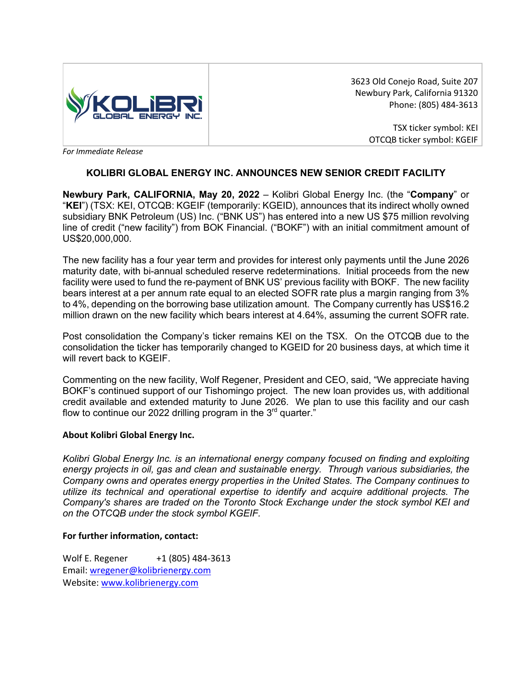

3623 Old Conejo Road, Suite 207 Newbury Park, California 91320 Phone: (805) 484-3613

> TSX ticker symbol: KEI OTCQB ticker symbol: KGEIF

*For Immediate Release* 

## **KOLIBRI GLOBAL ENERGY INC. ANNOUNCES NEW SENIOR CREDIT FACILITY**

**Newbury Park, CALIFORNIA, May 20, 2022** – Kolibri Global Energy Inc. (the "**Company**" or "**KEI**") (TSX: KEI, OTCQB: KGEIF (temporarily: KGEID), announces that its indirect wholly owned subsidiary BNK Petroleum (US) Inc. ("BNK US") has entered into a new US \$75 million revolving line of credit ("new facility") from BOK Financial. ("BOKF") with an initial commitment amount of US\$20,000,000.

The new facility has a four year term and provides for interest only payments until the June 2026 maturity date, with bi-annual scheduled reserve redeterminations. Initial proceeds from the new facility were used to fund the re-payment of BNK US' previous facility with BOKF. The new facility bears interest at a per annum rate equal to an elected SOFR rate plus a margin ranging from 3% to 4%, depending on the borrowing base utilization amount. The Company currently has US\$16.2 million drawn on the new facility which bears interest at 4.64%, assuming the current SOFR rate.

Post consolidation the Company's ticker remains KEI on the TSX. On the OTCQB due to the consolidation the ticker has temporarily changed to KGEID for 20 business days, at which time it will revert back to KGEIF.

Commenting on the new facility, Wolf Regener, President and CEO, said, "We appreciate having BOKF's continued support of our Tishomingo project. The new loan provides us, with additional credit available and extended maturity to June 2026. We plan to use this facility and our cash flow to continue our 2022 drilling program in the  $3<sup>rd</sup>$  quarter."

## **About Kolibri Global Energy Inc.**

*Kolibri Global Energy Inc. is an international energy company focused on finding and exploiting energy projects in oil, gas and clean and sustainable energy. Through various subsidiaries, the Company owns and operates energy properties in the United States. The Company continues to utilize its technical and operational expertise to identify and acquire additional projects. The Company's shares are traded on the Toronto Stock Exchange under the stock symbol KEI and on the OTCQB under the stock symbol KGEIF.*

## **For further information, contact:**

Wolf E. Regener +1 (805) 484-3613 Email: wregener@kolibrienergy.com Website: www.kolibrienergy.com